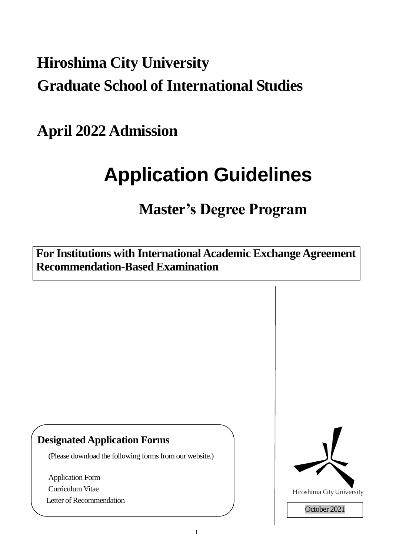## **Hiroshima City University Graduate School of International Studies**

**April 2022 Admission**

# **Application Guidelines**

### **Master's Degree Program**

**For Institutions with International Academic Exchange Agreement Recommendation-Based Examination**

### **Designated Application Forms**

(Please download the following forms from our website.)

Application Form Curriculum Vitae Letter of Recommendation

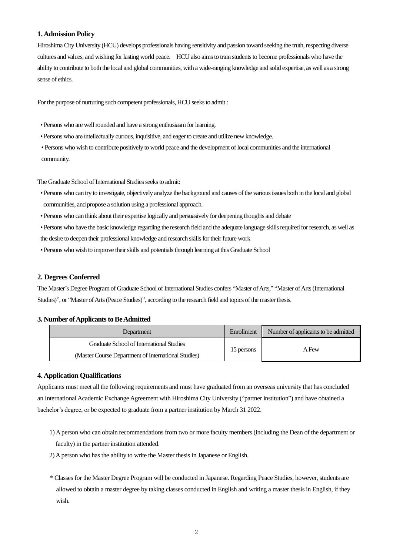#### **1. Admission Policy**

Hiroshima City University (HCU) develops professionals having sensitivity and passion toward seeking the truth, respecting diverse cultures and values, and wishing for lasting world peace. HCU also aims to train students to become professionals who have the ability to contribute to both the local and global communities, with a wide-ranging knowledge and solid expertise, as well as a strong sense of ethics.

For the purpose of nurturing such competent professionals, HCU seeks to admit :

- Persons who are well rounded and have a strong enthusiasm for learning.
- Persons who are intellectually curious, inquisitive, and eager to create and utilize new knowledge.
- Persons who wish to contribute positively to world peace and the development of local communities and the international community.

The Graduate School of International Studies seeks to admit:

- Persons who can try to investigate, objectively analyze the background and causes of the various issues both in the local and global communities, and propose a solution using a professional approach.
- Persons who can think about their expertise logically and persuasively for deepening thoughts and debate
- Persons who have the basic knowledge regarding the research field and the adequate language skills required for research, as well as the desire to deepen their professional knowledge and research skills for their future work
- Persons who wish to improve their skills and potentials through learning at this Graduate School

#### **2. Degrees Conferred**

The Master's Degree Programof Graduate School of International Studies confers "Master of Arts," "Master of Arts (International Studies)", or "Master of Arts (Peace Studies)", according to the research field and topics of the master thesis.

#### **3. Number of Applicants to Be Admitted**

| Department                                          | Enrollment | Number of applicants to be admitted |
|-----------------------------------------------------|------------|-------------------------------------|
| Graduate School of International Studies            | 15 persons | A Few                               |
| (Master Course Department of International Studies) |            |                                     |

#### **4. Application Qualifications**

Applicants must meet all the following requirements and must have graduated from an overseas university that has concluded an International Academic Exchange Agreement with Hiroshima City University ("partner institution") and have obtained a bachelor's degree, or be expected to graduate from a partner institution by March 31 2022.

- 1) A person who can obtain recommendations from two or more faculty members (including the Dean of the department or faculty) in the partner institution attended.
- 2) A person who has the ability to write the Master thesis in Japanese or English.
- \* Classes for the Master Degree Program will be conducted in Japanese. Regarding Peace Studies, however, students are allowed to obtain a master degree by taking classes conducted in English and writing a master thesis in English, if they wish.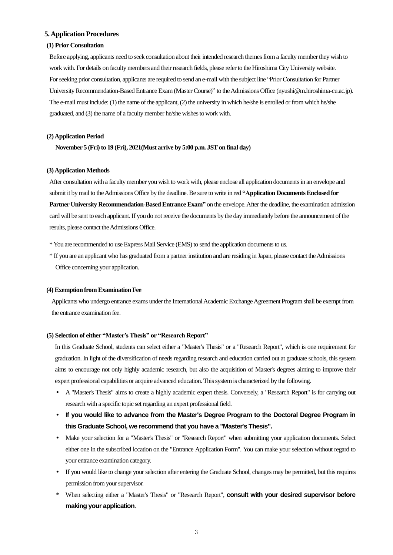#### **5. Application Procedures**

#### **(1) Prior Consultation**

Before applying, applicants need to seek consultation about their intended research themes froma faculty member they wish to work with. For details on faculty members and their research fields, please refer to the Hiroshima City University website. For seeking prior consultation, applicants are required to send an e-mail with the subject line "Prior Consultation for Partner University Recommendation-Based Entrance Exam (Master Course)" to the Admissions Office (nyushi@m.hiroshima-cu.ac.jp). The e-mail must include:(1) the name of the applicant, (2) the university in which he/she is enrolled or from which he/she graduated, and (3) the name of a faculty member he/she wishes to work with.

#### **(2) Application Period**

**November 5 (Fri) to 19 (Fri), 2021(Must arrive by 5:00 p.m. JST on final day)**

#### **(3) Application Methods**

After consultation with a faculty member you wish to work with, please enclose all application documents in an envelope and submit it by mail to the Admissions Office by the deadline. Be sure to write in red **"Application Documents Enclosed for Partner University Recommendation-Based Entrance Exam"** on the envelope. After the deadline, the examination admission card will be sent to each applicant. If you do not receive the documents by the day immediately before the announcement of the results, please contact the Admissions Office.

- \* You are recommended to use Express Mail Service (EMS) to send the application documents to us.
- \* If you are an applicant who has graduated from a partner institution and are residing in Japan, please contact the Admissions Office concerning your application.

#### **(4) Exemption from Examination Fee**

Applicants who undergo entrance exams under the International Academic Exchange Agreement Program shall be exempt from the entrance examination fee.

#### **(5) Selection of either "Master'sThesis" or "Research Report"**

In this Graduate School, students can select either a "Master's Thesis" or a "Research Report", which is one requirement for graduation. In light of the diversification of needs regarding research and education carried out at graduate schools, this system aims to encourage not only highly academic research, but also the acquisition of Master's degrees aiming to improve their expert professional capabilities or acquire advanced education. This system is characterized by the following.

- A "Master's Thesis" aims to create a highly academic expert thesis. Conversely, a "Research Report" is for carrying out research with a specific topic set regarding an expert professional field.
- **If you would like to advance from the Master's Degree Program to the Doctoral Degree Program in this Graduate School, we recommend that you have a "Master's Thesis".**
- Make your selection for a "Master's Thesis" or "Research Report" when submitting your application documents. Select either one in the subscribed location on the "Entrance Application Form". You can make your selection without regard to your entrance examination category.
- If you would like to change your selection after entering the Graduate School, changes may be permitted, but this requires permission from your supervisor.
- \* When selecting either a "Master's Thesis" or "Research Report", **consult with your desired supervisor before making your application**.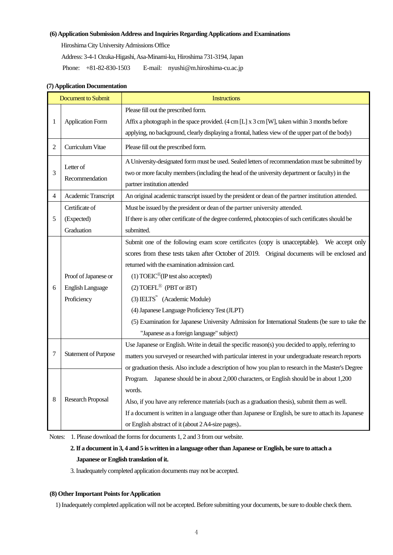#### **(6) Application SubmissionAddress and Inquiries Regarding Applications and Examinations**

Hiroshima City University Admissions Office

Address: 3-4-1 Ozuka-Higashi, Asa-Minami-ku, Hiroshima 731-3194, Japan

Phone: +81-82-830-1503 E-mail: nyushi@m.hiroshima-cu.ac.jp

| <b>Document to Submit</b> |                             | <b>Instructions</b>                                                                                   |  |  |
|---------------------------|-----------------------------|-------------------------------------------------------------------------------------------------------|--|--|
|                           | <b>Application Form</b>     | Please fill out the prescribed form.                                                                  |  |  |
| 1                         |                             | Affix a photograph in the space provided. (4 cm [L] x 3 cm [W], taken within 3 months before          |  |  |
|                           |                             | applying, no background, clearly displaying a frontal, hatless view of the upper part of the body)    |  |  |
| 2                         | Curriculum Vitae            | Please fill out the prescribed form.                                                                  |  |  |
| 3                         | Letter of<br>Recommendation | A University-designated form must be used. Sealed letters of recommendation must be submitted by      |  |  |
|                           |                             | two or more faculty members (including the head of the university department or faculty) in the       |  |  |
|                           |                             | partner institution attended                                                                          |  |  |
| 4                         | Academic Transcript         | An original academic transcript issued by the president or dean of the partner institution attended.  |  |  |
|                           | Certificate of              | Must be issued by the president or dean of the partner university attended.                           |  |  |
| 5                         | (Expected)                  | If there is any other certificate of the degree conferred, photocopies of such certificates should be |  |  |
|                           | Graduation                  | submitted.                                                                                            |  |  |
|                           |                             | Submit one of the following exam score certificates (copy is unacceptable). We accept only            |  |  |
|                           |                             | scores from these tests taken after October of 2019. Original documents will be enclosed and          |  |  |
|                           |                             | returned with the examination admission card.                                                         |  |  |
|                           | Proof of Japanese or        | $(1) TOEIC^{\circledR}$ (IP test also accepted)                                                       |  |  |
| 6                         | <b>English Language</b>     | (2) TOEFL <sup>®</sup> (PBT or iBT)                                                                   |  |  |
|                           | Proficiency                 | $(3)$ IELTS <sup>"</sup> (Academic Module)                                                            |  |  |
|                           |                             | (4) Japanese Language Proficiency Test (JLPT)                                                         |  |  |
|                           |                             | (5) Examination for Japanese University Admission for International Students (be sure to take the     |  |  |
|                           |                             | "Japanese as a foreign language" subject)                                                             |  |  |
|                           | <b>Statement of Purpose</b> | Use Japanese or English. Write in detail the specific reason(s) you decided to apply, referring to    |  |  |
| 7                         |                             | matters you surveyed or researched with particular interest in your undergraduate research reports    |  |  |
|                           |                             | or graduation thesis. Also include a description of how you plan to research in the Master's Degree   |  |  |
|                           | <b>Research Proposal</b>    | Japanese should be in about 2,000 characters, or English should be in about 1,200<br>Program.         |  |  |
| 8                         |                             | words.                                                                                                |  |  |
|                           |                             | Also, if you have any reference materials (such as a graduation thesis), submit them as well.         |  |  |
|                           |                             | If a document is written in a language other than Japanese or English, be sure to attach its Japanese |  |  |
|                           |                             | or English abstract of it (about 2 A4-size pages)                                                     |  |  |

#### **(7) Application Documentation**

Notes: 1. Please download the forms for documents 1, 2 and 3 from our website.

#### **2. If a document in 3, 4 and 5 is written in a language other than Japanese or English, be sure to attach a Japanese or English translation of it.**

3. Inadequately completed application documents may not be accepted.

#### **(8) Other Important Pointsfor Application**

1) Inadequately completed application will not be accepted. Before submitting your documents, be sure to double check them.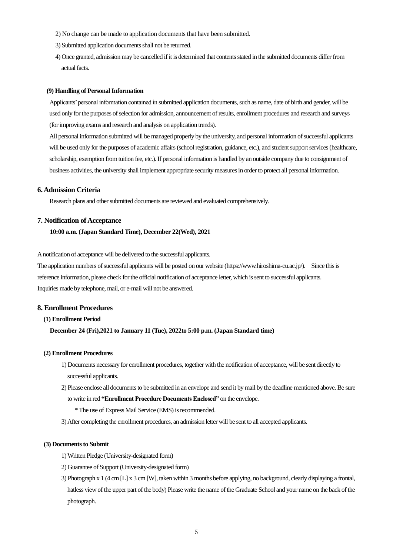- 2) No change can be made to application documents that have been submitted.
- 3) Submitted application documents shall not be returned.
- 4) Once granted, admission may be cancelled if it is determined that contents stated in the submitted documents differ from actual facts.

#### **(9) Handling of Personal Information**

Applicants' personal information contained in submitted application documents, such as name, date of birth and gender, will be used only for the purposes of selection for admission, announcement of results, enrollment procedures and research and surveys (for improving exams and research and analysis on application trends).

All personal information submitted will be managed properly by the university, and personal information ofsuccessful applicants will be used only for the purposes of academic affairs (school registration, guidance, etc.), and student support services (healthcare, scholarship, exemption from tuition fee, etc.). If personal information is handled by an outside company due to consignment of business activities, the university shall implement appropriate security measures in order to protect all personal information.

#### **6. Admission Criteria**

Research plans and other submitted documents are reviewed and evaluated comprehensively.

#### **7. Notification of Acceptance**

#### **10:00 a.m. (Japan Standard Time), December 22(Wed), 2021**

A notification of acceptance will be delivered to the successful applicants.

The application numbers of successful applicants will be posted on our website [\(https://www.hiroshima-cu.ac.jp/\)](https://www.hiroshima-cu.ac.jp/). Since this is reference information, please check for the official notification of acceptance letter, which is sent to successful applicants. Inquiries made by telephone, mail, or e-mail will not be answered.

#### **8. Enrollment Procedures**

#### **(1) Enrollment Period**

#### **December 24 (Fri),2021 to January 11 (Tue), 2022to 5:00 p.m. (Japan Standard time)**

#### **(2) Enrollment Procedures**

- 1) Documents necessary for enrollment procedures, together with the notification of acceptance, will be sent directly to successful applicants.
- 2) Please enclose all documents to be submitted in an envelope and send it by mail by the deadline mentioned above. Be sure to write in red **"Enrollment Procedure Documents Enclosed"** on the envelope.
	- \*The use of Express Mail Service (EMS) is recommended.
- 3) After completing the enrollment procedures, an admission letter will be sent to all accepted applicants.

#### **(3) Documents to Submit**

- 1) Written Pledge (University-designated form)
- 2) Guarantee of Support(University-designated form)
- 3) Photograph x 1 (4 cm [L] x 3 cm [W], taken within 3 months before applying, no background, clearly displaying a frontal, hatless view of the upper part of the body) Please write the name of the Graduate School and your name on the back of the photograph.